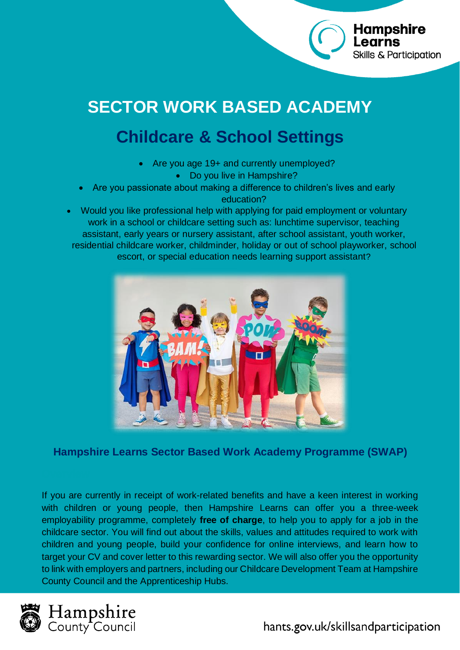# **SECTOR WORK BASED ACADEMY**

## **Childcare & School Settings**

- Are you age 19+ and currently unemployed? • Do you live in Hampshire?
- Are you passionate about making a difference to children's lives and early education?

• Would you like professional help with applying for paid employment or voluntary work in a school or childcare setting such as: lunchtime supervisor, teaching assistant, early years or nursery assistant, after school assistant, youth worker, residential childcare worker, childminder, holiday or out of school playworker, school escort, or special education needs learning support assistant?



**Hampshire Learns Sector Based Work Academy Programme (SWAP)**

If you are currently in receipt of work-related benefits and have a keen interest in working with children or young people, then Hampshire Learns can offer you a three-week employability programme, completely **free of charge**, to help you to apply for a job in the childcare sector. You will find out about the skills, values and attitudes required to work with children and young people, build your confidence for online interviews, and learn how to target your CV and cover letter to this rewarding sector. We will also offer you the opportunity to link with employers and partners, including our Childcare Development Team at Hampshire County Council and the Apprenticeship Hubs.





**Hampshire** 

**Skills & Participation**